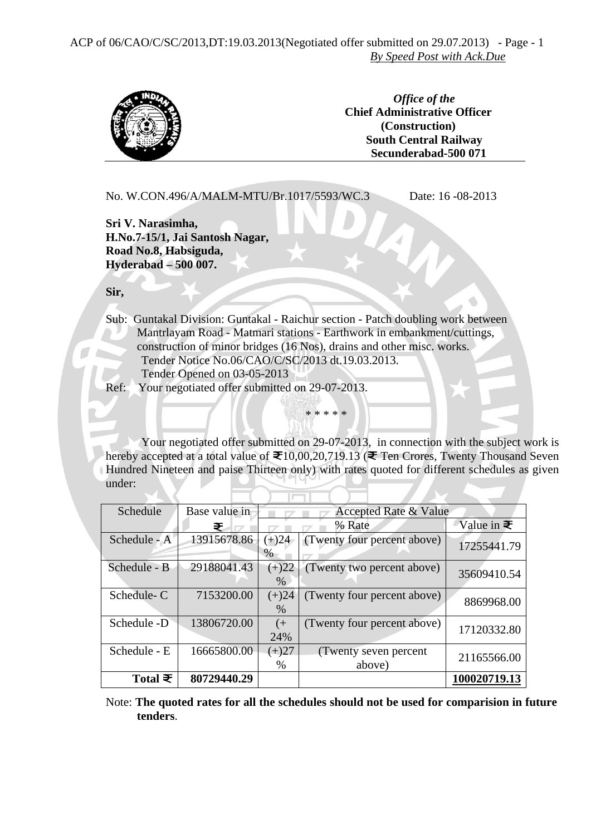ACP of 06/CAO/C/SC/2013,DT:19.03.2013(Negotiated offer submitted on 29.07.2013) - Page - 1 *By Speed Post with Ack.Due*



*Office of the*  **Chief Administrative Officer (Construction) South Central Railway Secunderabad-500 071**

 No. W.CON.496/A/MALM-MTU/Br.1017/5593/WC.3 Date: 16 -08-2013 **Sri V. Narasimha, H.No.7-15/1, Jai Santosh Nagar, Road No.8, Habsiguda, Hyderabad – 500 007. Sir,**  Sub: Guntakal Division: Guntakal - Raichur section - Patch doubling work between Mantrlayam Road - Matmari stations - Earthwork in embankment/cuttings, construction of minor bridges (16 Nos), drains and other misc. works. Tender Notice No.06/CAO/C/SC/2013 dt.19.03.2013. Tender Opened on 03-05-2013 Ref: Your negotiated offer submitted on 29-07-2013. \* \* \* \* \*

Your negotiated offer submitted on 29-07-2013, in connection with the subject work is hereby accepted at a total value of  $\mathfrak{F}10,00,20,719.13$  ( $\mathfrak{F}$  Ten Crores, Twenty Thousand Seven Hundred Nineteen and paise Thirteen only) with rates quoted for different schedules as given under:

| Schedule        | Base value in | Accepted Rate & Value |                             |                   |
|-----------------|---------------|-----------------------|-----------------------------|-------------------|
|                 | ₹             |                       | % Rate                      | Value in $\equiv$ |
| Schedule - A    | 13915678.86   | $(+)24$               | (Twenty four percent above) | 17255441.79       |
|                 |               | %                     |                             |                   |
| Schedule - B    | 29188041.43   | $(+)22$               | (Twenty two percent above)  | 35609410.54       |
|                 |               | $\frac{0}{0}$         |                             |                   |
| Schedule-C      | 7153200.00    | $(+)24$               | (Twenty four percent above) | 8869968.00        |
|                 |               | $\%$                  |                             |                   |
| Schedule -D     | 13806720.00   | $($ +                 | (Twenty four percent above) | 17120332.80       |
|                 |               | 24%                   |                             |                   |
| Schedule - E    | 16665800.00   | $(+)27$               | (Twenty seven percent)      |                   |
|                 |               | $\%$                  | above)                      | 21165566.00       |
| Total $\bar{z}$ | 80729440.29   |                       |                             | 100020719.13      |

Note: **The quoted rates for all the schedules should not be used for comparision in future tenders**.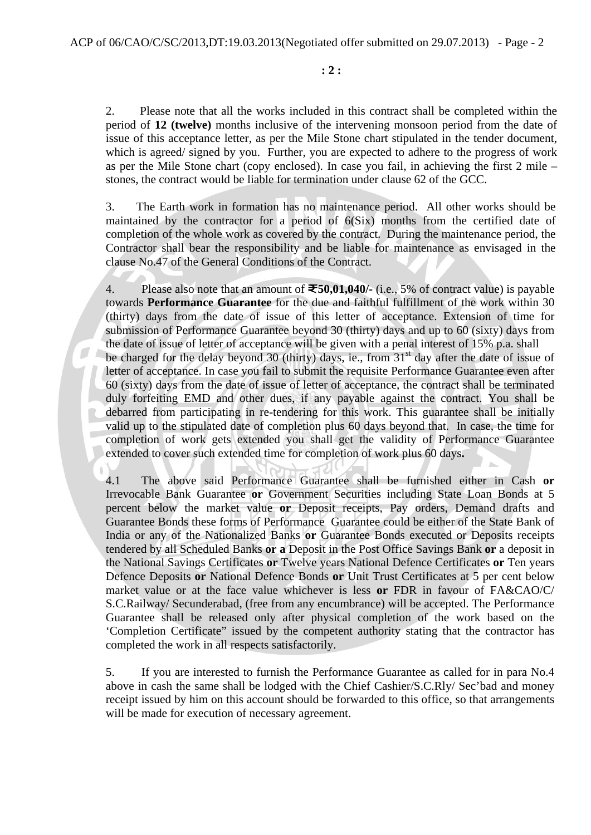2. Please note that all the works included in this contract shall be completed within the period of **12 (twelve)** months inclusive of the intervening monsoon period from the date of issue of this acceptance letter, as per the Mile Stone chart stipulated in the tender document, which is agreed/ signed by you. Further, you are expected to adhere to the progress of work as per the Mile Stone chart (copy enclosed). In case you fail, in achieving the first 2 mile – stones, the contract would be liable for termination under clause 62 of the GCC.

 3. The Earth work in formation has no maintenance period. All other works should be maintained by the contractor for a period of 6(Six) months from the certified date of completion of the whole work as covered by the contract. During the maintenance period, the Contractor shall bear the responsibility and be liable for maintenance as envisaged in the clause No.47 of the General Conditions of the Contract.

4. Please also note that an amount of **50,01,040/-** (i.e., 5% of contract value) is payable towards **Performance Guarantee** for the due and faithful fulfillment of the work within 30 (thirty) days from the date of issue of this letter of acceptance. Extension of time for submission of Performance Guarantee beyond 30 (thirty) days and up to 60 (sixty) days from the date of issue of letter of acceptance will be given with a penal interest of 15% p.a. shall be charged for the delay beyond 30 (thirty) days, ie., from  $31<sup>st</sup>$  day after the date of issue of letter of acceptance. In case you fail to submit the requisite Performance Guarantee even after 60 (sixty) days from the date of issue of letter of acceptance, the contract shall be terminated duly forfeiting EMD and other dues, if any payable against the contract. You shall be debarred from participating in re-tendering for this work. This guarantee shall be initially valid up to the stipulated date of completion plus 60 days beyond that. In case, the time for completion of work gets extended you shall get the validity of Performance Guarantee extended to cover such extended time for completion of work plus 60 days**.**

4.1 The above said Performance Guarantee shall be furnished either in Cash **or** Irrevocable Bank Guarantee **or** Government Securities including State Loan Bonds at 5 percent below the market value **or** Deposit receipts, Pay orders, Demand drafts and Guarantee Bonds these forms of Performance Guarantee could be either of the State Bank of India or any of the Nationalized Banks **or** Guarantee Bonds executed or Deposits receipts tendered by all Scheduled Banks **or a** Deposit in the Post Office Savings Bank **or** a deposit in the National Savings Certificates **or** Twelve years National Defence Certificates **or** Ten years Defence Deposits **or** National Defence Bonds **or** Unit Trust Certificates at 5 per cent below market value or at the face value whichever is less **or** FDR in favour of FA&CAO/C/ S.C.Railway/ Secunderabad, (free from any encumbrance) will be accepted. The Performance Guarantee shall be released only after physical completion of the work based on the 'Completion Certificate" issued by the competent authority stating that the contractor has completed the work in all respects satisfactorily.

5. If you are interested to furnish the Performance Guarantee as called for in para No.4 above in cash the same shall be lodged with the Chief Cashier/S.C.Rly/ Sec'bad and money receipt issued by him on this account should be forwarded to this office, so that arrangements will be made for execution of necessary agreement.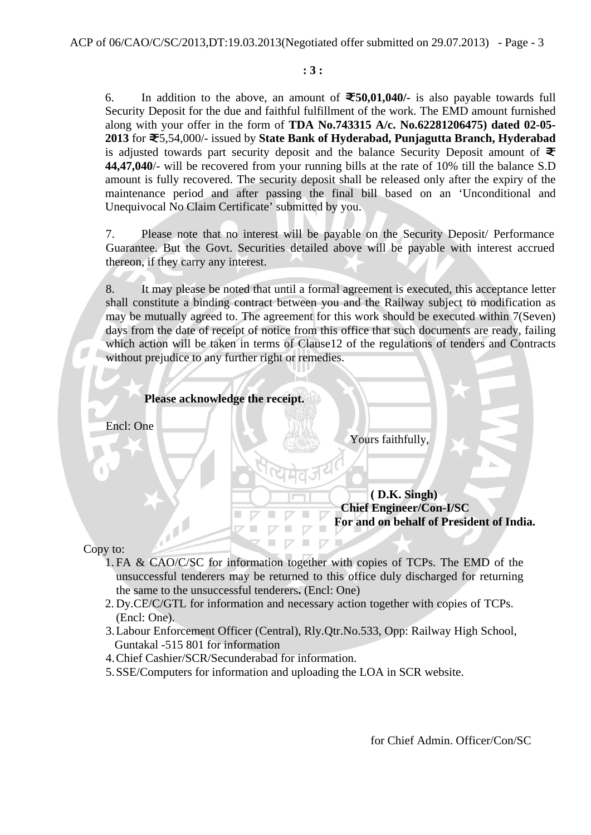6. In addition to the above, an amount of  $\mathbf{\bar{z}}$  50.01.040/- is also payable towards full Security Deposit for the due and faithful fulfillment of the work. The EMD amount furnished along with your offer in the form of **TDA No.743315 A/c. No.62281206475) dated 02-05- 2013** for 5,54,000/- issued by **State Bank of Hyderabad, Punjagutta Branch, Hyderabad** is adjusted towards part security deposit and the balance Security Deposit amount of  $\ddot{\equiv}$ **44,47,040**/- will be recovered from your running bills at the rate of 10% till the balance S.D amount is fully recovered. The security deposit shall be released only after the expiry of the maintenance period and after passing the final bill based on an 'Unconditional and Unequivocal No Claim Certificate' submitted by you.

7. Please note that no interest will be payable on the Security Deposit/ Performance Guarantee. But the Govt. Securities detailed above will be payable with interest accrued thereon, if they carry any interest.

8. It may please be noted that until a formal agreement is executed, this acceptance letter shall constitute a binding contract between you and the Railway subject to modification as may be mutually agreed to. The agreement for this work should be executed within 7(Seven) days from the date of receipt of notice from this office that such documents are ready, failing which action will be taken in terms of Clause12 of the regulations of tenders and Contracts without prejudice to any further right or remedies.

| Please acknowledge the receipt. |                                                                                            |
|---------------------------------|--------------------------------------------------------------------------------------------|
| Encl: One                       | Yours faithfully,                                                                          |
|                                 |                                                                                            |
|                                 | (D.K. Singh)<br><b>Chief Engineer/Con-I/SC</b><br>For and on behalf of President of India. |

Copy to:

- 1. FA & CAO/C/SC for information together with copies of TCPs. The EMD of the unsuccessful tenderers may be returned to this office duly discharged for returning the same to the unsuccessful tenderers**.** (Encl: One)
- 2. Dy.CE/C/GTL for information and necessary action together with copies of TCPs. (Encl: One).
- 3.Labour Enforcement Officer (Central), Rly.Qtr.No.533, Opp: Railway High School, Guntakal -515 801 for information
- 4.Chief Cashier/SCR/Secunderabad for information.
- 5.SSE/Computers for information and uploading the LOA in SCR website.